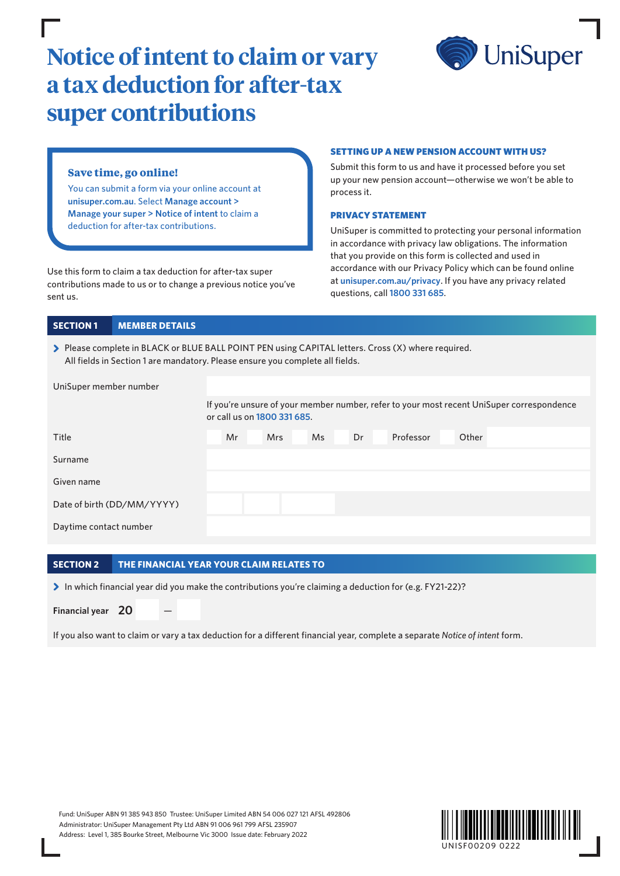# **Notice of intent to claim or vary a tax deduction for after-tax super contributions**



# **Save time, go online!**

You can submit a form via your online account at **[unisuper.com.au](http://unisuper.com.au)** . Select **Manage account > Manage your super > Notice of intent** to claim a deduction for after-tax contributions.

Use this form to claim a tax deduction for after-tax super contributions made to us or to change a previous notice you've sent us.

## SETTING UP A NEW PENSION ACCOUNT WITH US?

Submit this form to us and have it processed before you set up your new pension account—otherwise we won't be able to process it.

#### PRIVACY STATEMENT

UniSuper is committed to protecting your personal information in accordance with privacy law obligations. The information that you provide on this form is collected and used in accordance with our Privacy Policy which can be found online at **[unisuper.com.au/privacy](http://unisuper.com.au/privacy)** . If you have any privacy related questions, call **1800 331 685**.

## **SECTION 1 MEMBER DETAILS**

> Please complete in BLACK or BLUE BALL POINT PEN using CAPITAL letters. Cross (X) where required. All fields in Section 1 are mandatory. Please ensure you complete all fields.

| UniSuper member number     |    |                             |           |    |                                                                                           |       |  |  |
|----------------------------|----|-----------------------------|-----------|----|-------------------------------------------------------------------------------------------|-------|--|--|
|                            |    | or call us on 1800 331 685. |           |    | If you're unsure of your member number, refer to your most recent UniSuper correspondence |       |  |  |
| Title                      | Mr | <b>Mrs</b>                  | <b>Ms</b> | Dr | Professor                                                                                 | Other |  |  |
| Surname                    |    |                             |           |    |                                                                                           |       |  |  |
| Given name                 |    |                             |           |    |                                                                                           |       |  |  |
| Date of birth (DD/MM/YYYY) |    |                             |           |    |                                                                                           |       |  |  |
| Daytime contact number     |    |                             |           |    |                                                                                           |       |  |  |

## **SECTION 2 THE FINANCIAL YEAR YOUR CLAIM RELATES TO**

In which financial year did you make the contributions you're claiming a deduction for (e.g. FY21-22)?

**Financial year** 20

If you also want to claim or vary a tax deduction for a different financial year, complete a separate *Notice of intent* form.

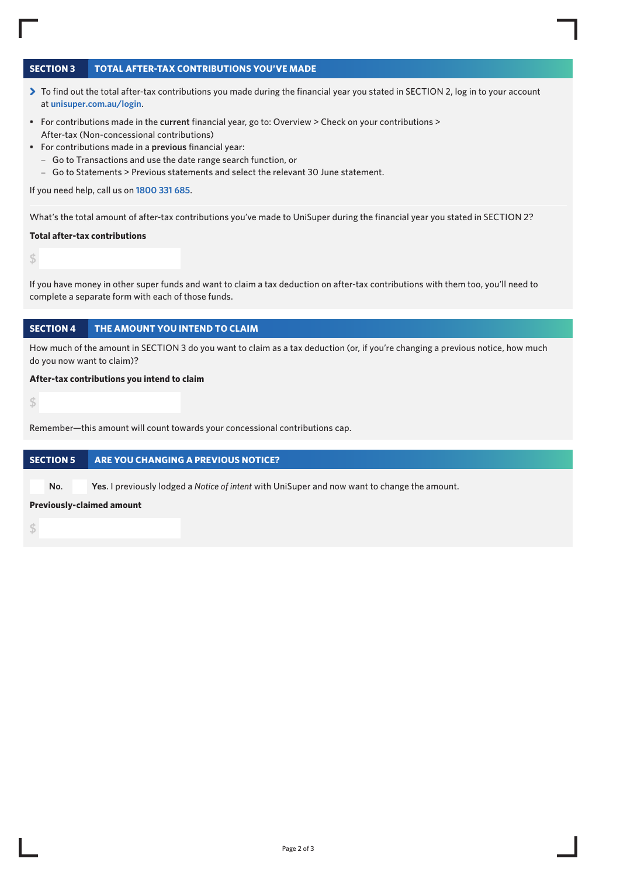# **SECTION 3 TOTAL AFTER-TAX CONTRIBUTIONS YOU'VE MADE**

- > To find out the total after-tax contributions you made during the financial year you stated in SECTION 2, log in to your account at **[unisuper.com.au/login](http://unisuper.com.au/login)** .
- For contributions made in the **current** financial year, go to: Overview > Check on your contributions > After-tax (Non-concessional contributions)
- For contributions made in a **previous** financial year:
	- Go to Transactions and use the date range search function, or
	- Go to Statements > Previous statements and select the relevant 30 June statement.

If you need help, call us on **1800 331 685**.

What's the total amount of after-tax contributions you've made to UniSuper during the financial year you stated in SECTION 2?

## **Total after-tax contributions**

**\$** 

If you have money in other super funds and want to claim a tax deduction on after-tax contributions with them too, you'll need to complete a separate form with each of those funds.

## **SECTION 4 THE AMOUNT YOU INTEND TO CLAIM**

How much of the amount in SECTION 3 do you want to claim as a tax deduction (or, if you're changing a previous notice, how much do you now want to claim)?

#### **After-tax contributions you intend to claim**

**\$** 

Remember—this amount will count towards your concessional contributions cap.

## **SECTION 5 ARE YOU CHANGING A PREVIOUS NOTICE?**

**No**. **Yes**. I previously lodged a *Notice of intent* with UniSuper and now want to change the amount.

#### **Previously-claimed amount**

**\$**